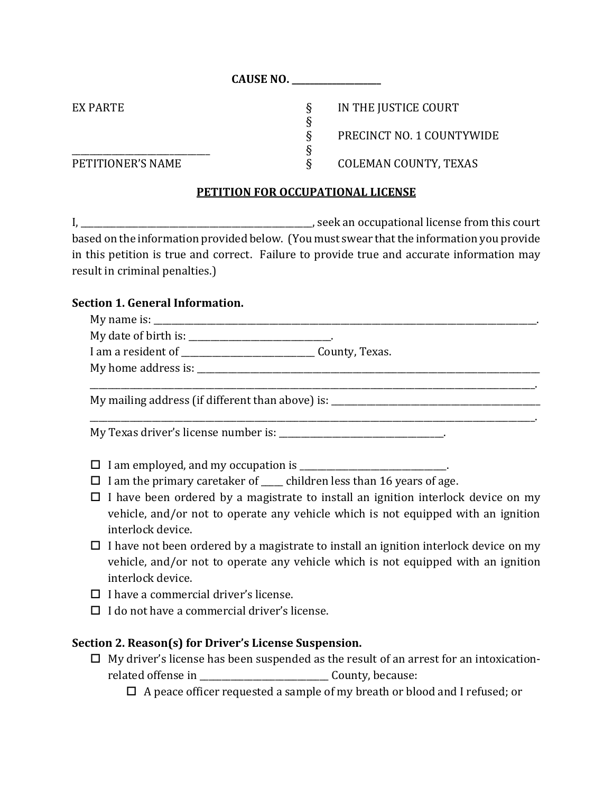**CAUSE NO. \_\_\_\_\_\_\_\_\_\_\_\_\_\_\_\_\_\_\_\_**

EX PARTE SERVICE SUPPORTION FOR THE JUSTICE COURT § PRECINCT NO. 1 COUNTYWIDE PETITIONER'S NAME  $\S$  COLEMAN COUNTY, TEXAS

### **PETITION FOR OCCUPATIONAL LICENSE**

§

I, \_\_\_\_\_\_\_\_\_\_\_\_\_\_\_\_\_\_\_\_\_\_\_\_\_\_\_\_\_\_\_\_\_\_\_\_\_\_\_\_\_\_\_\_\_\_\_\_\_\_\_\_, seek an occupational license from this court based on the information provided below. (You must swear that the information you provide in this petition is true and correct. Failure to provide true and accurate information may result in criminal penalties.)

### **Section 1. General Information.**

 $\overbrace{\mathbf{S}}$ 

| My date of birth is: ______________________________.                                |                                                                                  |  |
|-------------------------------------------------------------------------------------|----------------------------------------------------------------------------------|--|
|                                                                                     |                                                                                  |  |
|                                                                                     |                                                                                  |  |
|                                                                                     | My mailing address (if different than above) is: _______________________________ |  |
| $\mathbf{M}$ and $\mathbf{M}$ is the set of $\mathbf{M}$ is the set of $\mathbf{M}$ |                                                                                  |  |

My Texas driver's license number is: \_\_\_\_\_\_\_\_\_\_\_\_\_\_\_\_\_\_\_\_\_\_\_\_\_\_\_\_\_\_\_\_\_\_\_\_\_.

- I am employed, and my occupation is \_\_\_\_\_\_\_\_\_\_\_\_\_\_\_\_\_\_\_\_\_\_\_\_\_\_\_\_\_\_\_\_\_.
- $\Box$  I am the primary caretaker of children less than 16 years of age.
- $\Box$  I have been ordered by a magistrate to install an ignition interlock device on my vehicle, and/or not to operate any vehicle which is not equipped with an ignition interlock device.
- $\Box$  I have not been ordered by a magistrate to install an ignition interlock device on my vehicle, and/or not to operate any vehicle which is not equipped with an ignition interlock device.
- $\Box$  I have a commercial driver's license.
- $\Box$  I do not have a commercial driver's license.

# **Section 2. Reason(s) for Driver's License Suspension.**

- $\Box$  My driver's license has been suspended as the result of an arrest for an intoxicationrelated offense in \_\_\_\_\_\_\_\_\_\_\_\_\_\_\_\_\_\_\_\_\_\_\_\_\_\_\_\_\_ County, because:
	- $\Box$  A peace officer requested a sample of my breath or blood and I refused; or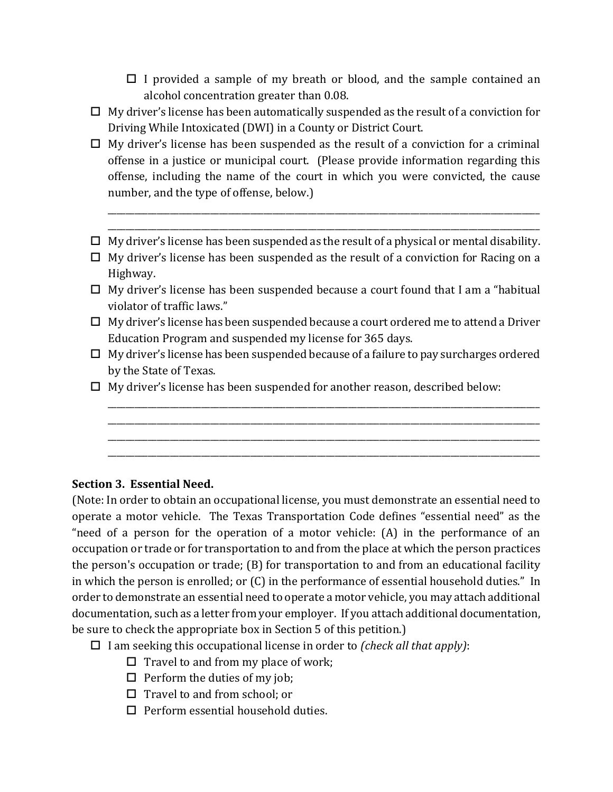- $\Box$  I provided a sample of my breath or blood, and the sample contained an alcohol concentration greater than 0.08.
- $\Box$  My driver's license has been automatically suspended as the result of a conviction for Driving While Intoxicated (DWI) in a County or District Court.
- $\Box$  My driver's license has been suspended as the result of a conviction for a criminal offense in a justice or municipal court. (Please provide information regarding this offense, including the name of the court in which you were convicted, the cause number, and the type of offense, below.)
- $\Box$  My driver's license has been suspended as the result of a physical or mental disability.

\_\_\_\_\_\_\_\_\_\_\_\_\_\_\_\_\_\_\_\_\_\_\_\_\_\_\_\_\_\_\_\_\_\_\_\_\_\_\_\_\_\_\_\_\_\_\_\_\_\_\_\_\_\_\_\_\_\_\_\_\_\_\_\_\_\_\_\_\_\_\_\_\_\_\_\_\_\_\_\_\_\_\_\_\_\_\_\_\_\_\_\_\_\_\_\_\_ \_\_\_\_\_\_\_\_\_\_\_\_\_\_\_\_\_\_\_\_\_\_\_\_\_\_\_\_\_\_\_\_\_\_\_\_\_\_\_\_\_\_\_\_\_\_\_\_\_\_\_\_\_\_\_\_\_\_\_\_\_\_\_\_\_\_\_\_\_\_\_\_\_\_\_\_\_\_\_\_\_\_\_\_\_\_\_\_\_\_\_\_\_\_\_\_\_

- $\Box$  My driver's license has been suspended as the result of a conviction for Racing on a Highway.
- $\Box$  My driver's license has been suspended because a court found that I am a "habitual" violator of traffic laws."
- $\Box$  My driver's license has been suspended because a court ordered me to attend a Driver Education Program and suspended my license for 365 days.
- $\Box$  My driver's license has been suspended because of a failure to pay surcharges ordered by the State of Texas.

\_\_\_\_\_\_\_\_\_\_\_\_\_\_\_\_\_\_\_\_\_\_\_\_\_\_\_\_\_\_\_\_\_\_\_\_\_\_\_\_\_\_\_\_\_\_\_\_\_\_\_\_\_\_\_\_\_\_\_\_\_\_\_\_\_\_\_\_\_\_\_\_\_\_\_\_\_\_\_\_\_\_\_\_\_\_\_\_\_\_\_\_\_\_\_\_\_ \_\_\_\_\_\_\_\_\_\_\_\_\_\_\_\_\_\_\_\_\_\_\_\_\_\_\_\_\_\_\_\_\_\_\_\_\_\_\_\_\_\_\_\_\_\_\_\_\_\_\_\_\_\_\_\_\_\_\_\_\_\_\_\_\_\_\_\_\_\_\_\_\_\_\_\_\_\_\_\_\_\_\_\_\_\_\_\_\_\_\_\_\_\_\_\_\_ \_\_\_\_\_\_\_\_\_\_\_\_\_\_\_\_\_\_\_\_\_\_\_\_\_\_\_\_\_\_\_\_\_\_\_\_\_\_\_\_\_\_\_\_\_\_\_\_\_\_\_\_\_\_\_\_\_\_\_\_\_\_\_\_\_\_\_\_\_\_\_\_\_\_\_\_\_\_\_\_\_\_\_\_\_\_\_\_\_\_\_\_\_\_\_\_\_ \_\_\_\_\_\_\_\_\_\_\_\_\_\_\_\_\_\_\_\_\_\_\_\_\_\_\_\_\_\_\_\_\_\_\_\_\_\_\_\_\_\_\_\_\_\_\_\_\_\_\_\_\_\_\_\_\_\_\_\_\_\_\_\_\_\_\_\_\_\_\_\_\_\_\_\_\_\_\_\_\_\_\_\_\_\_\_\_\_\_\_\_\_\_\_\_\_

 $\Box$  My driver's license has been suspended for another reason, described below:

# **Section 3. Essential Need.**

(Note: In order to obtain an occupational license, you must demonstrate an essential need to operate a motor vehicle. The Texas Transportation Code defines "essential need" as the "need of a person for the operation of a motor vehicle: (A) in the performance of an occupation or trade or for transportation to and from the place at which the person practices the person's occupation or trade; (B) for transportation to and from an educational facility in which the person is enrolled; or (C) in the performance of essential household duties." In order to demonstrate an essential need to operate a motor vehicle, you may attach additional documentation, such as a letter from your employer. If you attach additional documentation, be sure to check the appropriate box in Section 5 of this petition.)

- I am seeking this occupational license in order to *(check all that apply)*:
	- $\Box$  Travel to and from my place of work;
	- $\Box$  Perform the duties of my job;
	- $\Box$  Travel to and from school; or
	- $\Box$  Perform essential household duties.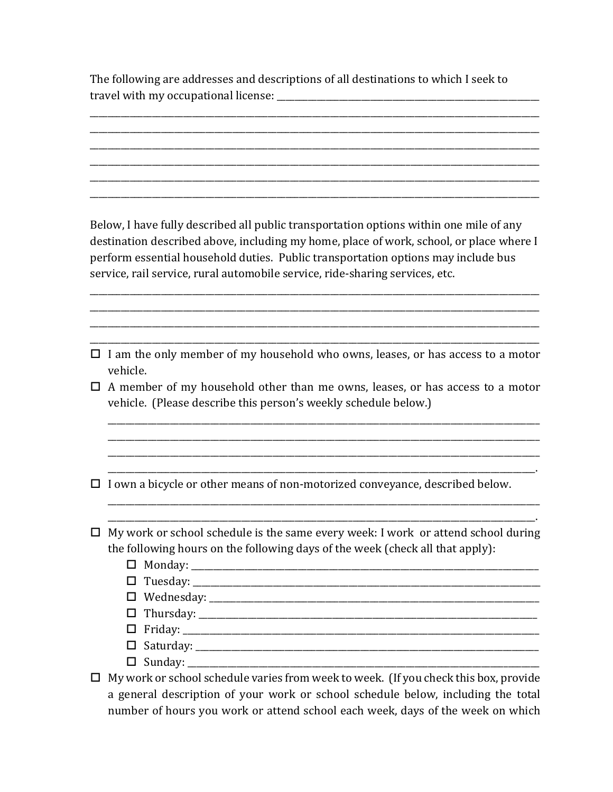The following are addresses and descriptions of all destinations to which I seek to travel with my occupational license: \_\_\_\_\_\_\_\_\_\_\_\_\_\_\_\_\_\_\_\_\_\_\_\_\_\_\_\_\_\_\_\_\_\_\_\_\_\_\_\_\_\_\_\_\_\_\_\_\_\_\_\_\_\_\_\_\_\_\_

\_\_\_\_\_\_\_\_\_\_\_\_\_\_\_\_\_\_\_\_\_\_\_\_\_\_\_\_\_\_\_\_\_\_\_\_\_\_\_\_\_\_\_\_\_\_\_\_\_\_\_\_\_\_\_\_\_\_\_\_\_\_\_\_\_\_\_\_\_\_\_\_\_\_\_\_\_\_\_\_\_\_\_\_\_\_\_\_\_\_\_\_\_\_\_\_\_\_\_\_\_ \_\_\_\_\_\_\_\_\_\_\_\_\_\_\_\_\_\_\_\_\_\_\_\_\_\_\_\_\_\_\_\_\_\_\_\_\_\_\_\_\_\_\_\_\_\_\_\_\_\_\_\_\_\_\_\_\_\_\_\_\_\_\_\_\_\_\_\_\_\_\_\_\_\_\_\_\_\_\_\_\_\_\_\_\_\_\_\_\_\_\_\_\_\_\_\_\_\_\_\_\_ \_\_\_\_\_\_\_\_\_\_\_\_\_\_\_\_\_\_\_\_\_\_\_\_\_\_\_\_\_\_\_\_\_\_\_\_\_\_\_\_\_\_\_\_\_\_\_\_\_\_\_\_\_\_\_\_\_\_\_\_\_\_\_\_\_\_\_\_\_\_\_\_\_\_\_\_\_\_\_\_\_\_\_\_\_\_\_\_\_\_\_\_\_\_\_\_\_\_\_\_\_ \_\_\_\_\_\_\_\_\_\_\_\_\_\_\_\_\_\_\_\_\_\_\_\_\_\_\_\_\_\_\_\_\_\_\_\_\_\_\_\_\_\_\_\_\_\_\_\_\_\_\_\_\_\_\_\_\_\_\_\_\_\_\_\_\_\_\_\_\_\_\_\_\_\_\_\_\_\_\_\_\_\_\_\_\_\_\_\_\_\_\_\_\_\_\_\_\_\_\_\_\_ \_\_\_\_\_\_\_\_\_\_\_\_\_\_\_\_\_\_\_\_\_\_\_\_\_\_\_\_\_\_\_\_\_\_\_\_\_\_\_\_\_\_\_\_\_\_\_\_\_\_\_\_\_\_\_\_\_\_\_\_\_\_\_\_\_\_\_\_\_\_\_\_\_\_\_\_\_\_\_\_\_\_\_\_\_\_\_\_\_\_\_\_\_\_\_\_\_\_\_\_\_ \_\_\_\_\_\_\_\_\_\_\_\_\_\_\_\_\_\_\_\_\_\_\_\_\_\_\_\_\_\_\_\_\_\_\_\_\_\_\_\_\_\_\_\_\_\_\_\_\_\_\_\_\_\_\_\_\_\_\_\_\_\_\_\_\_\_\_\_\_\_\_\_\_\_\_\_\_\_\_\_\_\_\_\_\_\_\_\_\_\_\_\_\_\_\_\_\_\_\_\_\_

Below, I have fully described all public transportation options within one mile of any destination described above, including my home, place of work, school, or place where I perform essential household duties. Public transportation options may include bus service, rail service, rural automobile service, ride-sharing services, etc.

\_\_\_\_\_\_\_\_\_\_\_\_\_\_\_\_\_\_\_\_\_\_\_\_\_\_\_\_\_\_\_\_\_\_\_\_\_\_\_\_\_\_\_\_\_\_\_\_\_\_\_\_\_\_\_\_\_\_\_\_\_\_\_\_\_\_\_\_\_\_\_\_\_\_\_\_\_\_\_\_\_\_\_\_\_\_\_\_\_\_\_\_\_\_\_\_\_\_\_\_\_ \_\_\_\_\_\_\_\_\_\_\_\_\_\_\_\_\_\_\_\_\_\_\_\_\_\_\_\_\_\_\_\_\_\_\_\_\_\_\_\_\_\_\_\_\_\_\_\_\_\_\_\_\_\_\_\_\_\_\_\_\_\_\_\_\_\_\_\_\_\_\_\_\_\_\_\_\_\_\_\_\_\_\_\_\_\_\_\_\_\_\_\_\_\_\_\_\_\_\_\_\_ \_\_\_\_\_\_\_\_\_\_\_\_\_\_\_\_\_\_\_\_\_\_\_\_\_\_\_\_\_\_\_\_\_\_\_\_\_\_\_\_\_\_\_\_\_\_\_\_\_\_\_\_\_\_\_\_\_\_\_\_\_\_\_\_\_\_\_\_\_\_\_\_\_\_\_\_\_\_\_\_\_\_\_\_\_\_\_\_\_\_\_\_\_\_\_\_\_\_\_\_\_ \_\_\_\_\_\_\_\_\_\_\_\_\_\_\_\_\_\_\_\_\_\_\_\_\_\_\_\_\_\_\_\_\_\_\_\_\_\_\_\_\_\_\_\_\_\_\_\_\_\_\_\_\_\_\_\_\_\_\_\_\_\_\_\_\_\_\_\_\_\_\_\_\_\_\_\_\_\_\_\_\_\_\_\_\_\_\_\_\_\_\_\_\_\_\_\_\_\_\_\_\_

 $\Box$  I am the only member of my household who owns, leases, or has access to a motor vehicle.

 $\Box$  A member of my household other than me owns, leases, or has access to a motor vehicle. (Please describe this person's weekly schedule below.)

\_\_\_\_\_\_\_\_\_\_\_\_\_\_\_\_\_\_\_\_\_\_\_\_\_\_\_\_\_\_\_\_\_\_\_\_\_\_\_\_\_\_\_\_\_\_\_\_\_\_\_\_\_\_\_\_\_\_\_\_\_\_\_\_\_\_\_\_\_\_\_\_\_\_\_\_\_\_\_\_\_\_\_\_\_\_\_\_\_\_\_\_\_\_\_\_\_ \_\_\_\_\_\_\_\_\_\_\_\_\_\_\_\_\_\_\_\_\_\_\_\_\_\_\_\_\_\_\_\_\_\_\_\_\_\_\_\_\_\_\_\_\_\_\_\_\_\_\_\_\_\_\_\_\_\_\_\_\_\_\_\_\_\_\_\_\_\_\_\_\_\_\_\_\_\_\_\_\_\_\_\_\_\_\_\_\_\_\_\_\_\_\_\_\_ \_\_\_\_\_\_\_\_\_\_\_\_\_\_\_\_\_\_\_\_\_\_\_\_\_\_\_\_\_\_\_\_\_\_\_\_\_\_\_\_\_\_\_\_\_\_\_\_\_\_\_\_\_\_\_\_\_\_\_\_\_\_\_\_\_\_\_\_\_\_\_\_\_\_\_\_\_\_\_\_\_\_\_\_\_\_\_\_\_\_\_\_\_\_\_\_\_ \_\_\_\_\_\_\_\_\_\_\_\_\_\_\_\_\_\_\_\_\_\_\_\_\_\_\_\_\_\_\_\_\_\_\_\_\_\_\_\_\_\_\_\_\_\_\_\_\_\_\_\_\_\_\_\_\_\_\_\_\_\_\_\_\_\_\_\_\_\_\_\_\_\_\_\_\_\_\_\_\_\_\_\_\_\_\_\_\_\_\_\_\_\_\_\_.

 $\Box$  I own a bicycle or other means of non-motorized conveyance, described below.

 $\Box$  My work or school schedule is the same every week: I work or attend school during the following hours on the following days of the week (check all that apply):

\_\_\_\_\_\_\_\_\_\_\_\_\_\_\_\_\_\_\_\_\_\_\_\_\_\_\_\_\_\_\_\_\_\_\_\_\_\_\_\_\_\_\_\_\_\_\_\_\_\_\_\_\_\_\_\_\_\_\_\_\_\_\_\_\_\_\_\_\_\_\_\_\_\_\_\_\_\_\_\_\_\_\_\_\_\_\_\_\_\_\_\_\_\_\_\_\_ \_\_\_\_\_\_\_\_\_\_\_\_\_\_\_\_\_\_\_\_\_\_\_\_\_\_\_\_\_\_\_\_\_\_\_\_\_\_\_\_\_\_\_\_\_\_\_\_\_\_\_\_\_\_\_\_\_\_\_\_\_\_\_\_\_\_\_\_\_\_\_\_\_\_\_\_\_\_\_\_\_\_\_\_\_\_\_\_\_\_\_\_\_\_\_\_.

- Monday: \_\_\_\_\_\_\_\_\_\_\_\_\_\_\_\_\_\_\_\_\_\_\_\_\_\_\_\_\_\_\_\_\_\_\_\_\_\_\_\_\_\_\_\_\_\_\_\_\_\_\_\_\_\_\_\_\_\_\_\_\_\_\_\_\_\_\_\_\_\_\_\_\_\_\_\_\_\_
- Tuesday: \_\_\_\_\_\_\_\_\_\_\_\_\_\_\_\_\_\_\_\_\_\_\_\_\_\_\_\_\_\_\_\_\_\_\_\_\_\_\_\_\_\_\_\_\_\_\_\_\_\_\_\_\_\_\_\_\_\_\_\_\_\_\_\_\_\_\_\_\_\_\_\_\_\_\_\_\_\_
- Wednesday: \_\_\_\_\_\_\_\_\_\_\_\_\_\_\_\_\_\_\_\_\_\_\_\_\_\_\_\_\_\_\_\_\_\_\_\_\_\_\_\_\_\_\_\_\_\_\_\_\_\_\_\_\_\_\_\_\_\_\_\_\_\_\_\_\_\_\_\_\_\_\_\_\_\_
- Thursday: \_\_\_\_\_\_\_\_\_\_\_\_\_\_\_\_\_\_\_\_\_\_\_\_\_\_\_\_\_\_\_\_\_\_\_\_\_\_\_\_\_\_\_\_\_\_\_\_\_\_\_\_\_\_\_\_\_\_\_\_\_\_\_\_\_\_\_\_\_\_\_\_\_\_\_\_
- $\Box$  Friday:
- Saturday: \_\_\_\_\_\_\_\_\_\_\_\_\_\_\_\_\_\_\_\_\_\_\_\_\_\_\_\_\_\_\_\_\_\_\_\_\_\_\_\_\_\_\_\_\_\_\_\_\_\_\_\_\_\_\_\_\_\_\_\_\_\_\_\_\_\_\_\_\_\_\_\_\_\_\_\_\_
- Sunday: \_\_\_\_\_\_\_\_\_\_\_\_\_\_\_\_\_\_\_\_\_\_\_\_\_\_\_\_\_\_\_\_\_\_\_\_\_\_\_\_\_\_\_\_\_\_\_\_\_\_\_\_\_\_\_\_\_\_\_\_\_\_\_\_\_\_\_\_\_\_\_\_\_\_\_\_\_\_\_

 $\Box$  My work or school schedule varies from week to week. (If you check this box, provide a general description of your work or school schedule below, including the total number of hours you work or attend school each week, days of the week on which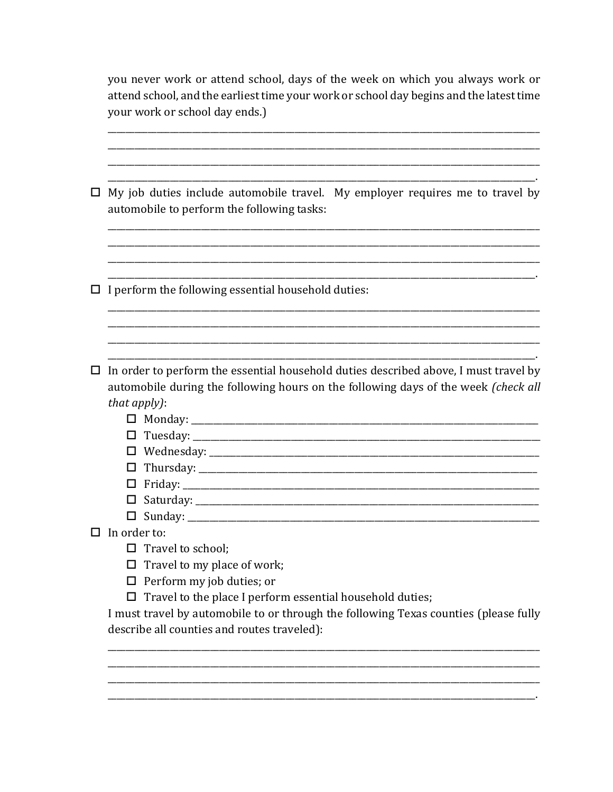| you never work or attend school, days of the week on which you always work or           |
|-----------------------------------------------------------------------------------------|
| attend school, and the earliest time your work or school day begins and the latest time |
| your work or school day ends.)                                                          |

| $\Box$ My job duties include automobile travel. My employer requires me to travel by |  |  |  |
|--------------------------------------------------------------------------------------|--|--|--|
| automobile to perform the following tasks:                                           |  |  |  |

 $\Box$  I perform the following essential household duties:

 $\Box$  In order to perform the essential household duties described above, I must travel by automobile during the following hours on the following days of the week (check all that apply):

| $\Box$ Monday:     |  |
|--------------------|--|
| $\square$ Tuesday: |  |

- 
- $\Box$  Thursday:
- 
- 
- 
- $\Box$  In order to:
	- $\Box$  Travel to school;
	- $\Box$  Travel to my place of work;
	- $\Box$  Perform my job duties; or
	- $\Box$  Travel to the place I perform essential household duties;

I must travel by automobile to or through the following Texas counties (please fully describe all counties and routes traveled):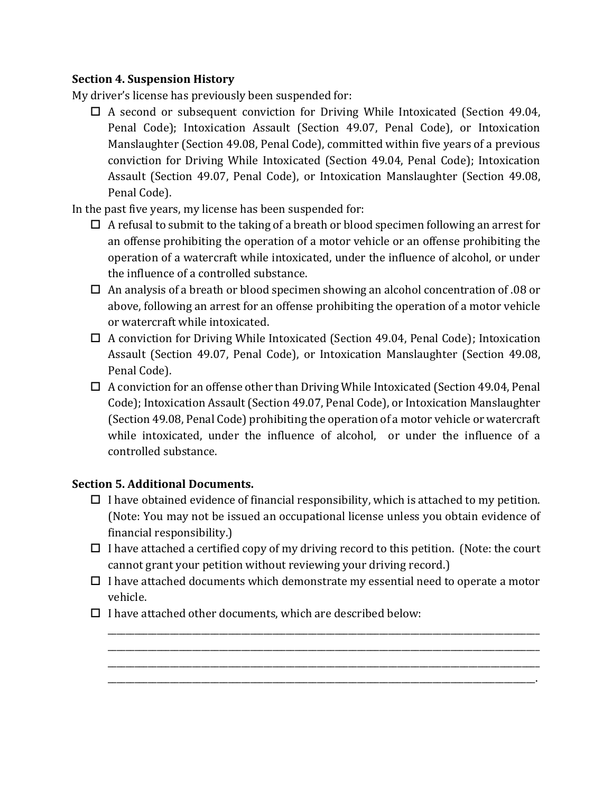## **Section 4. Suspension History**

My driver's license has previously been suspended for:

 $\Box$  A second or subsequent conviction for Driving While Intoxicated (Section 49.04, Penal Code); Intoxication Assault (Section 49.07, Penal Code), or Intoxication Manslaughter (Section 49.08, Penal Code), committed within five years of a previous conviction for Driving While Intoxicated (Section 49.04, Penal Code); Intoxication Assault (Section 49.07, Penal Code), or Intoxication Manslaughter (Section 49.08, Penal Code).

In the past five years, my license has been suspended for:

- $\Box$  A refusal to submit to the taking of a breath or blood specimen following an arrest for an offense prohibiting the operation of a motor vehicle or an offense prohibiting the operation of a watercraft while intoxicated, under the influence of alcohol, or under the influence of a controlled substance.
- $\Box$  An analysis of a breath or blood specimen showing an alcohol concentration of .08 or above, following an arrest for an offense prohibiting the operation of a motor vehicle or watercraft while intoxicated.
- $\Box$  A conviction for Driving While Intoxicated (Section 49.04, Penal Code); Intoxication Assault (Section 49.07, Penal Code), or Intoxication Manslaughter (Section 49.08, Penal Code).
- $\Box$  A conviction for an offense other than Driving While Intoxicated (Section 49.04, Penal Code); Intoxication Assault (Section 49.07, Penal Code), or Intoxication Manslaughter (Section 49.08, Penal Code) prohibiting the operation of a motor vehicle or watercraft while intoxicated, under the influence of alcohol, or under the influence of a controlled substance.

# **Section 5. Additional Documents.**

- $\Box$  I have obtained evidence of financial responsibility, which is attached to my petition. (Note: You may not be issued an occupational license unless you obtain evidence of financial responsibility.)
- $\Box$  I have attached a certified copy of my driving record to this petition. (Note: the court cannot grant your petition without reviewing your driving record.)
- $\Box$  I have attached documents which demonstrate my essential need to operate a motor vehicle.

\_\_\_\_\_\_\_\_\_\_\_\_\_\_\_\_\_\_\_\_\_\_\_\_\_\_\_\_\_\_\_\_\_\_\_\_\_\_\_\_\_\_\_\_\_\_\_\_\_\_\_\_\_\_\_\_\_\_\_\_\_\_\_\_\_\_\_\_\_\_\_\_\_\_\_\_\_\_\_\_\_\_\_\_\_\_\_\_\_\_\_\_\_\_\_\_\_ \_\_\_\_\_\_\_\_\_\_\_\_\_\_\_\_\_\_\_\_\_\_\_\_\_\_\_\_\_\_\_\_\_\_\_\_\_\_\_\_\_\_\_\_\_\_\_\_\_\_\_\_\_\_\_\_\_\_\_\_\_\_\_\_\_\_\_\_\_\_\_\_\_\_\_\_\_\_\_\_\_\_\_\_\_\_\_\_\_\_\_\_\_\_\_\_\_ \_\_\_\_\_\_\_\_\_\_\_\_\_\_\_\_\_\_\_\_\_\_\_\_\_\_\_\_\_\_\_\_\_\_\_\_\_\_\_\_\_\_\_\_\_\_\_\_\_\_\_\_\_\_\_\_\_\_\_\_\_\_\_\_\_\_\_\_\_\_\_\_\_\_\_\_\_\_\_\_\_\_\_\_\_\_\_\_\_\_\_\_\_\_\_\_\_ \_\_\_\_\_\_\_\_\_\_\_\_\_\_\_\_\_\_\_\_\_\_\_\_\_\_\_\_\_\_\_\_\_\_\_\_\_\_\_\_\_\_\_\_\_\_\_\_\_\_\_\_\_\_\_\_\_\_\_\_\_\_\_\_\_\_\_\_\_\_\_\_\_\_\_\_\_\_\_\_\_\_\_\_\_\_\_\_\_\_\_\_\_\_\_\_.

 $\Box$  I have attached other documents, which are described below: